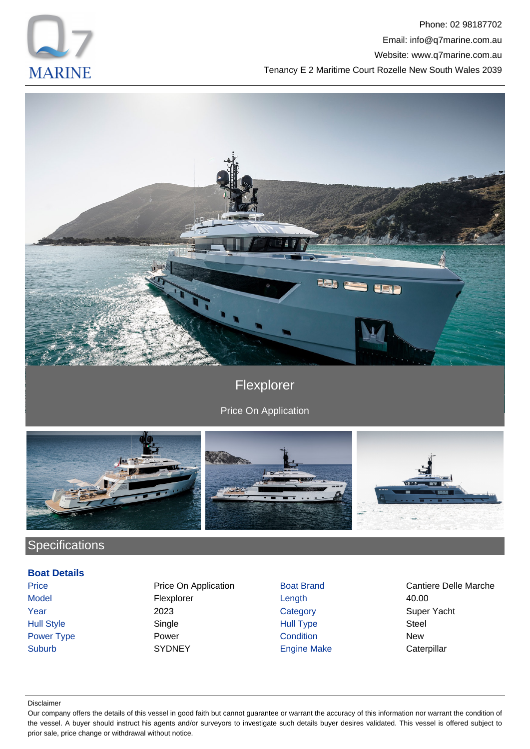

Phone: 02 98187702 Email: info@q7marine.com.au Website: www.q7marine.com.au Tenancy E 2 Maritime Court Rozelle New South Wales 2039



# Flexplorer

Price On Application



# **Specifications**

### **Boat Details**

Model **Flexplorer** Example 10.00 Year 2023 Category Super Yacht Hull Style Single Hull Type Steel Suburb SYDNEY Engine Make Caterpillar

Price **Price On Application** Boat Brand Cantiere Delle Marche Power Type Power Condition New State New South Wales

#### Disclaimer

Our company offers the details of this vessel in good faith but cannot guarantee or warrant the accuracy of this information nor warrant the condition of the vessel. A buyer should instruct his agents and/or surveyors to investigate such details buyer desires validated. This vessel is offered subject to prior sale, price change or withdrawal without notice.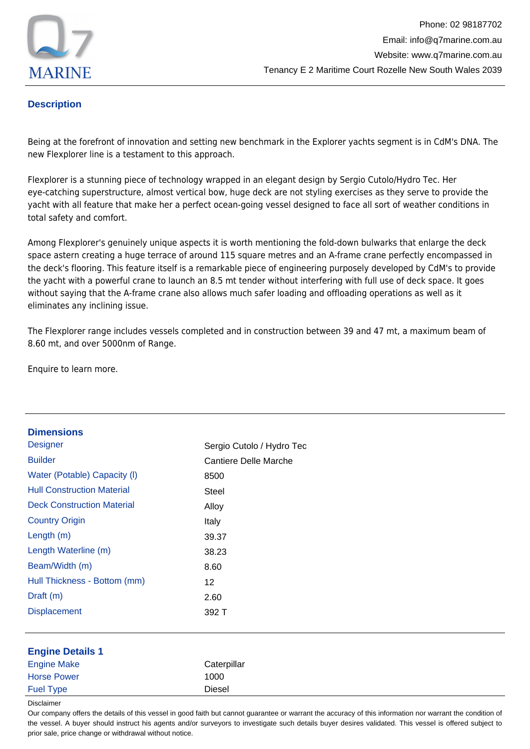

## **Description**

Being at the forefront of innovation and setting new benchmark in the Explorer yachts segment is in CdM's DNA. The new Flexplorer line is a testament to this approach.

Flexplorer is a stunning piece of technology wrapped in an elegant design by Sergio Cutolo/Hydro Tec. Her eye-catching superstructure, almost vertical bow, huge deck are not styling exercises as they serve to provide the yacht with all feature that make her a perfect ocean-going vessel designed to face all sort of weather conditions in total safety and comfort.

Among Flexplorer's genuinely unique aspects it is worth mentioning the fold-down bulwarks that enlarge the deck space astern creating a huge terrace of around 115 square metres and an A-frame crane perfectly encompassed in the deck's flooring. This feature itself is a remarkable piece of engineering purposely developed by CdM's to provide the yacht with a powerful crane to launch an 8.5 mt tender without interfering with full use of deck space. It goes without saying that the A-frame crane also allows much safer loading and offloading operations as well as it eliminates any inclining issue.

The Flexplorer range includes vessels completed and in construction between 39 and 47 mt, a maximum beam of 8.60 mt, and over 5000nm of Range.

Enquire to learn more.

| <b>Dimensions</b>                 |                              |  |
|-----------------------------------|------------------------------|--|
| <b>Designer</b>                   | Sergio Cutolo / Hydro Tec    |  |
| <b>Builder</b>                    | <b>Cantiere Delle Marche</b> |  |
| Water (Potable) Capacity (I)      | 8500                         |  |
| <b>Hull Construction Material</b> | <b>Steel</b>                 |  |
| <b>Deck Construction Material</b> | Alloy                        |  |
| <b>Country Origin</b>             | Italy                        |  |
| Length (m)                        | 39.37                        |  |
| Length Waterline (m)              | 38.23                        |  |
| Beam/Width (m)                    | 8.60                         |  |
| Hull Thickness - Bottom (mm)      | 12                           |  |
| Draft (m)                         | 2.60                         |  |
| <b>Displacement</b>               | 392 T                        |  |
|                                   |                              |  |
| <b>Engine Details 1</b>           |                              |  |
| <b>Engine Make</b>                | Caterpillar                  |  |
| <b>Horse Power</b>                | 1000                         |  |
| <b>Fuel Type</b>                  | Diesel                       |  |
| <b>Disclaimer</b>                 |                              |  |

Our company offers the details of this vessel in good faith but cannot guarantee or warrant the accuracy of this information nor warrant the condition of the vessel. A buyer should instruct his agents and/or surveyors to investigate such details buyer desires validated. This vessel is offered subject to prior sale, price change or withdrawal without notice.